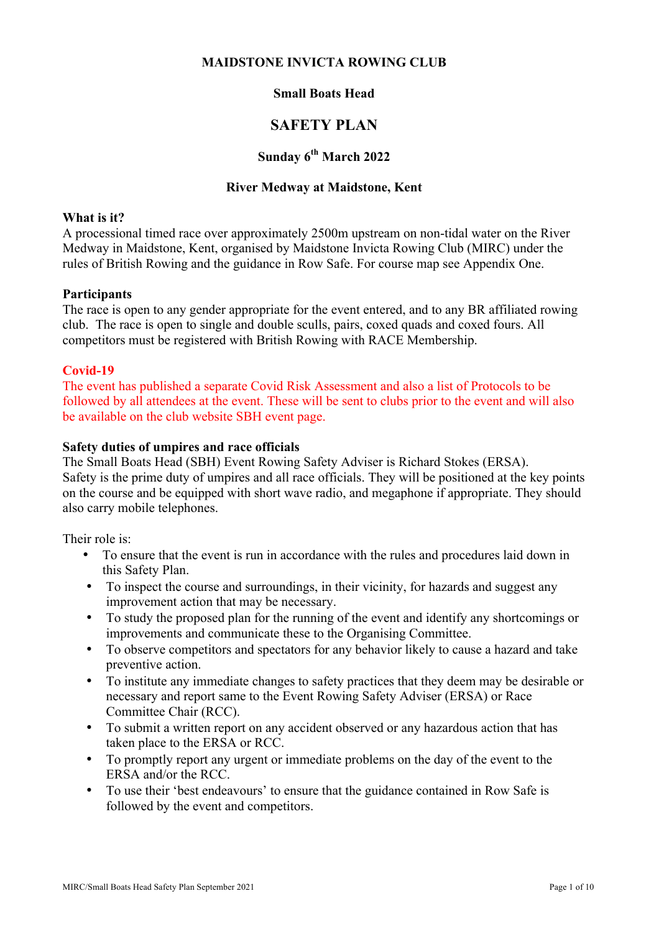#### **MAIDSTONE INVICTA ROWING CLUB**

## **Small Boats Head**

# **SAFETY PLAN**

# **Sunday 6th March 2022**

#### **River Medway at Maidstone, Kent**

#### **What is it?**

A processional timed race over approximately 2500m upstream on non-tidal water on the River Medway in Maidstone, Kent, organised by Maidstone Invicta Rowing Club (MIRC) under the rules of British Rowing and the guidance in Row Safe. For course map see Appendix One.

#### **Participants**

The race is open to any gender appropriate for the event entered, and to any BR affiliated rowing club. The race is open to single and double sculls, pairs, coxed quads and coxed fours. All competitors must be registered with British Rowing with RACE Membership.

#### **Covid-19**

The event has published a separate Covid Risk Assessment and also a list of Protocols to be followed by all attendees at the event. These will be sent to clubs prior to the event and will also be available on the club website SBH event page.

#### **Safety duties of umpires and race officials**

The Small Boats Head (SBH) Event Rowing Safety Adviser is Richard Stokes (ERSA). Safety is the prime duty of umpires and all race officials. They will be positioned at the key points on the course and be equipped with short wave radio, and megaphone if appropriate. They should also carry mobile telephones.

Their role is:

- To ensure that the event is run in accordance with the rules and procedures laid down in this Safety Plan.
- To inspect the course and surroundings, in their vicinity, for hazards and suggest any improvement action that may be necessary.
- To study the proposed plan for the running of the event and identify any shortcomings or improvements and communicate these to the Organising Committee.
- To observe competitors and spectators for any behavior likely to cause a hazard and take preventive action.
- To institute any immediate changes to safety practices that they deem may be desirable or necessary and report same to the Event Rowing Safety Adviser (ERSA) or Race Committee Chair (RCC).
- To submit a written report on any accident observed or any hazardous action that has taken place to the ERSA or RCC.
- To promptly report any urgent or immediate problems on the day of the event to the ERSA and/or the RCC.
- To use their 'best endeavours' to ensure that the guidance contained in Row Safe is followed by the event and competitors.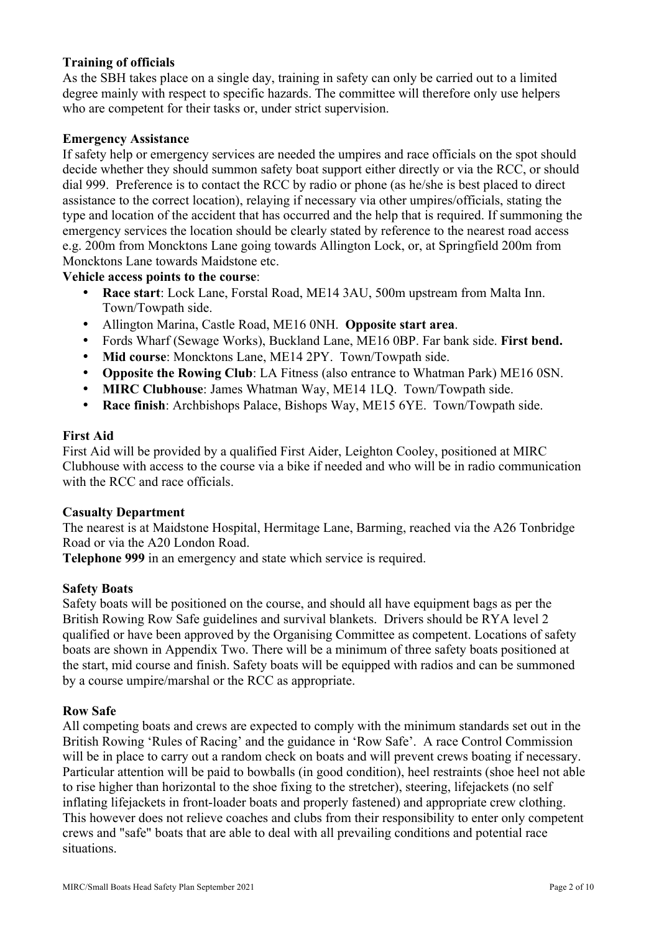#### **Training of officials**

As the SBH takes place on a single day, training in safety can only be carried out to a limited degree mainly with respect to specific hazards. The committee will therefore only use helpers who are competent for their tasks or, under strict supervision.

#### **Emergency Assistance**

If safety help or emergency services are needed the umpires and race officials on the spot should decide whether they should summon safety boat support either directly or via the RCC, or should dial 999. Preference is to contact the RCC by radio or phone (as he/she is best placed to direct assistance to the correct location), relaying if necessary via other umpires/officials, stating the type and location of the accident that has occurred and the help that is required. If summoning the emergency services the location should be clearly stated by reference to the nearest road access e.g. 200m from Moncktons Lane going towards Allington Lock, or, at Springfield 200m from Moncktons Lane towards Maidstone etc.

#### **Vehicle access points to the course**:

- **Race start**: Lock Lane, Forstal Road, ME14 3AU, 500m upstream from Malta Inn. Town/Towpath side.
- Allington Marina, Castle Road, ME16 0NH. **Opposite start area**.
- Fords Wharf (Sewage Works), Buckland Lane, ME16 0BP. Far bank side. **First bend.**
- **Mid course**: Moncktons Lane, ME14 2PY. Town/Towpath side.
- **Opposite the Rowing Club**: LA Fitness (also entrance to Whatman Park) ME16 0SN.
- **MIRC Clubhouse**: James Whatman Way, ME14 1LQ. Town/Towpath side.
- **Race finish**: Archbishops Palace, Bishops Way, ME15 6YE. Town/Towpath side.

#### **First Aid**

First Aid will be provided by a qualified First Aider, Leighton Cooley, positioned at MIRC Clubhouse with access to the course via a bike if needed and who will be in radio communication with the RCC and race officials.

#### **Casualty Department**

The nearest is at Maidstone Hospital, Hermitage Lane, Barming, reached via the A26 Tonbridge Road or via the A20 London Road.

**Telephone 999** in an emergency and state which service is required.

#### **Safety Boats**

Safety boats will be positioned on the course, and should all have equipment bags as per the British Rowing Row Safe guidelines and survival blankets. Drivers should be RYA level 2 qualified or have been approved by the Organising Committee as competent. Locations of safety boats are shown in Appendix Two. There will be a minimum of three safety boats positioned at the start, mid course and finish. Safety boats will be equipped with radios and can be summoned by a course umpire/marshal or the RCC as appropriate.

#### **Row Safe**

All competing boats and crews are expected to comply with the minimum standards set out in the British Rowing 'Rules of Racing' and the guidance in 'Row Safe'. A race Control Commission will be in place to carry out a random check on boats and will prevent crews boating if necessary. Particular attention will be paid to bowballs (in good condition), heel restraints (shoe heel not able to rise higher than horizontal to the shoe fixing to the stretcher), steering, lifejackets (no self inflating lifejackets in front-loader boats and properly fastened) and appropriate crew clothing. This however does not relieve coaches and clubs from their responsibility to enter only competent crews and "safe" boats that are able to deal with all prevailing conditions and potential race situations.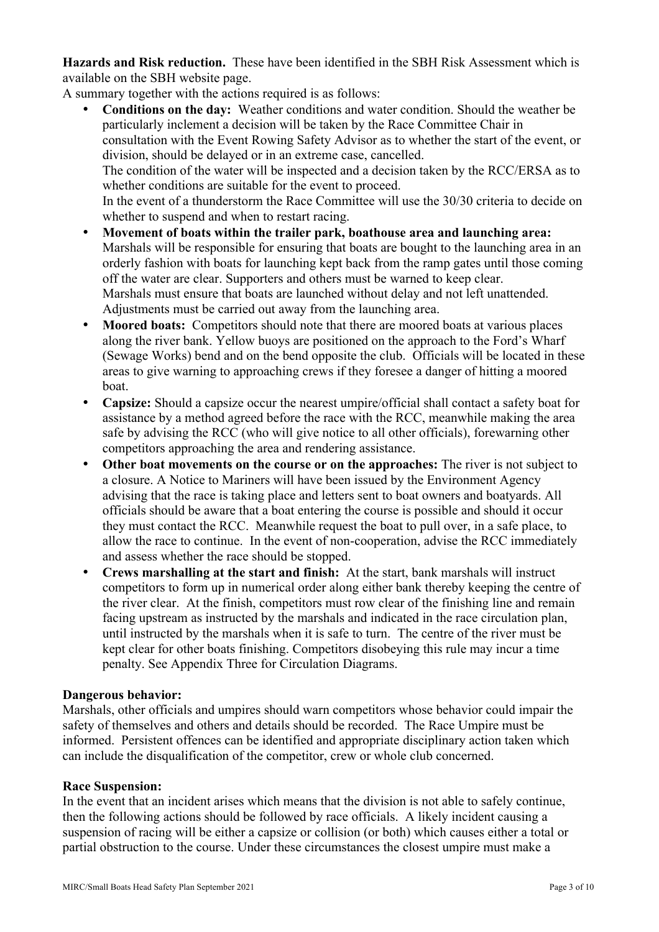**Hazards and Risk reduction.** These have been identified in the SBH Risk Assessment which is available on the SBH website page.

A summary together with the actions required is as follows:

- **Conditions on the day:** Weather conditions and water condition. Should the weather be particularly inclement a decision will be taken by the Race Committee Chair in consultation with the Event Rowing Safety Advisor as to whether the start of the event, or division, should be delayed or in an extreme case, cancelled. The condition of the water will be inspected and a decision taken by the RCC/ERSA as to whether conditions are suitable for the event to proceed. In the event of a thunderstorm the Race Committee will use the 30/30 criteria to decide on whether to suspend and when to restart racing. • **Movement of boats within the trailer park, boathouse area and launching area:**
- Marshals will be responsible for ensuring that boats are bought to the launching area in an orderly fashion with boats for launching kept back from the ramp gates until those coming off the water are clear. Supporters and others must be warned to keep clear. Marshals must ensure that boats are launched without delay and not left unattended. Adjustments must be carried out away from the launching area.
- **Moored boats:** Competitors should note that there are moored boats at various places along the river bank. Yellow buoys are positioned on the approach to the Ford's Wharf (Sewage Works) bend and on the bend opposite the club. Officials will be located in these areas to give warning to approaching crews if they foresee a danger of hitting a moored boat.
- **Capsize:** Should a capsize occur the nearest umpire/official shall contact a safety boat for assistance by a method agreed before the race with the RCC, meanwhile making the area safe by advising the RCC (who will give notice to all other officials), forewarning other competitors approaching the area and rendering assistance.
- **Other boat movements on the course or on the approaches:** The river is not subject to a closure. A Notice to Mariners will have been issued by the Environment Agency advising that the race is taking place and letters sent to boat owners and boatyards. All officials should be aware that a boat entering the course is possible and should it occur they must contact the RCC. Meanwhile request the boat to pull over, in a safe place, to allow the race to continue. In the event of non-cooperation, advise the RCC immediately and assess whether the race should be stopped.
- **Crews marshalling at the start and finish:** At the start, bank marshals will instruct competitors to form up in numerical order along either bank thereby keeping the centre of the river clear. At the finish, competitors must row clear of the finishing line and remain facing upstream as instructed by the marshals and indicated in the race circulation plan, until instructed by the marshals when it is safe to turn. The centre of the river must be kept clear for other boats finishing. Competitors disobeying this rule may incur a time penalty. See Appendix Three for Circulation Diagrams.

### **Dangerous behavior:**

Marshals, other officials and umpires should warn competitors whose behavior could impair the safety of themselves and others and details should be recorded. The Race Umpire must be informed. Persistent offences can be identified and appropriate disciplinary action taken which can include the disqualification of the competitor, crew or whole club concerned.

#### **Race Suspension:**

In the event that an incident arises which means that the division is not able to safely continue, then the following actions should be followed by race officials. A likely incident causing a suspension of racing will be either a capsize or collision (or both) which causes either a total or partial obstruction to the course. Under these circumstances the closest umpire must make a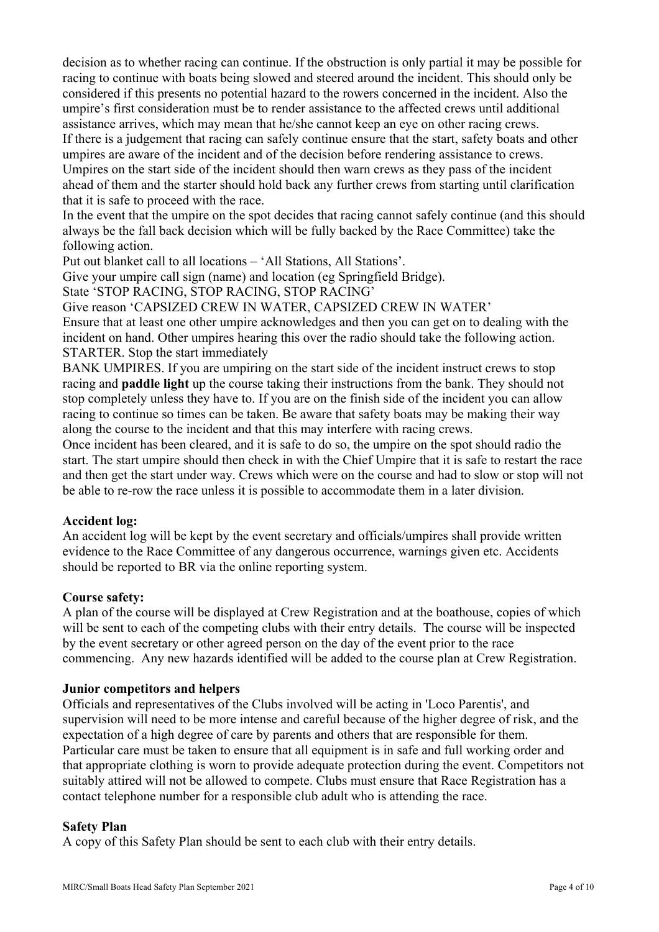decision as to whether racing can continue. If the obstruction is only partial it may be possible for racing to continue with boats being slowed and steered around the incident. This should only be considered if this presents no potential hazard to the rowers concerned in the incident. Also the umpire's first consideration must be to render assistance to the affected crews until additional assistance arrives, which may mean that he/she cannot keep an eye on other racing crews. If there is a judgement that racing can safely continue ensure that the start, safety boats and other umpires are aware of the incident and of the decision before rendering assistance to crews. Umpires on the start side of the incident should then warn crews as they pass of the incident ahead of them and the starter should hold back any further crews from starting until clarification that it is safe to proceed with the race.

In the event that the umpire on the spot decides that racing cannot safely continue (and this should always be the fall back decision which will be fully backed by the Race Committee) take the following action.

Put out blanket call to all locations – 'All Stations, All Stations'.

Give your umpire call sign (name) and location (eg Springfield Bridge).

State 'STOP RACING, STOP RACING, STOP RACING'

Give reason 'CAPSIZED CREW IN WATER, CAPSIZED CREW IN WATER' Ensure that at least one other umpire acknowledges and then you can get on to dealing with the incident on hand. Other umpires hearing this over the radio should take the following action. STARTER. Stop the start immediately

BANK UMPIRES. If you are umpiring on the start side of the incident instruct crews to stop racing and **paddle light** up the course taking their instructions from the bank. They should not stop completely unless they have to. If you are on the finish side of the incident you can allow racing to continue so times can be taken. Be aware that safety boats may be making their way along the course to the incident and that this may interfere with racing crews.

Once incident has been cleared, and it is safe to do so, the umpire on the spot should radio the start. The start umpire should then check in with the Chief Umpire that it is safe to restart the race and then get the start under way. Crews which were on the course and had to slow or stop will not be able to re-row the race unless it is possible to accommodate them in a later division.

### **Accident log:**

An accident log will be kept by the event secretary and officials/umpires shall provide written evidence to the Race Committee of any dangerous occurrence, warnings given etc. Accidents should be reported to BR via the online reporting system.

#### **Course safety:**

A plan of the course will be displayed at Crew Registration and at the boathouse, copies of which will be sent to each of the competing clubs with their entry details. The course will be inspected by the event secretary or other agreed person on the day of the event prior to the race commencing. Any new hazards identified will be added to the course plan at Crew Registration.

#### **Junior competitors and helpers**

Officials and representatives of the Clubs involved will be acting in 'Loco Parentis', and supervision will need to be more intense and careful because of the higher degree of risk, and the expectation of a high degree of care by parents and others that are responsible for them. Particular care must be taken to ensure that all equipment is in safe and full working order and that appropriate clothing is worn to provide adequate protection during the event. Competitors not suitably attired will not be allowed to compete. Clubs must ensure that Race Registration has a contact telephone number for a responsible club adult who is attending the race.

#### **Safety Plan**

A copy of this Safety Plan should be sent to each club with their entry details.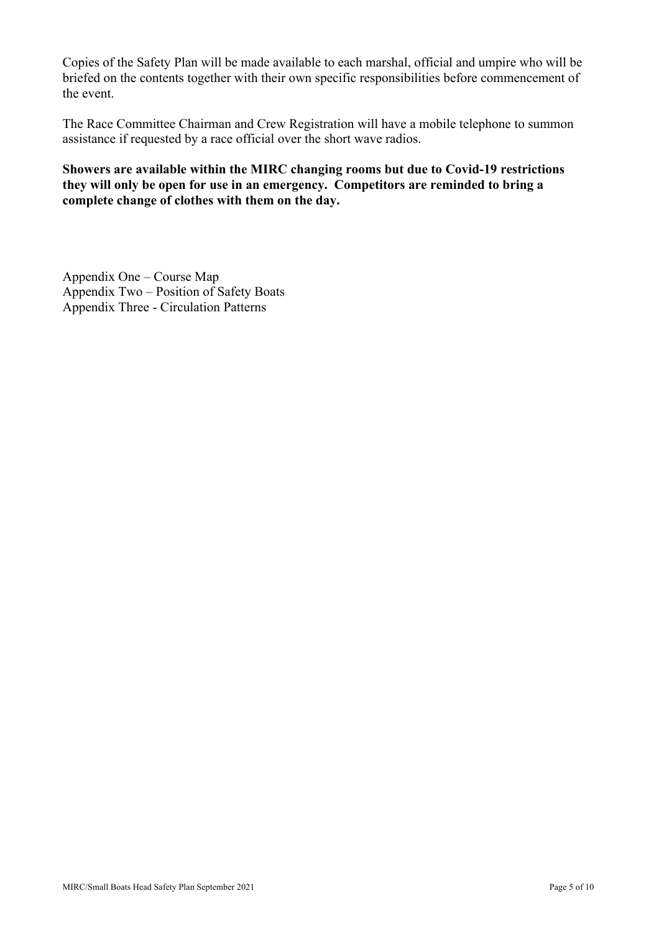Copies of the Safety Plan will be made available to each marshal, official and umpire who will be briefed on the contents together with their own specific responsibilities before commencement of the event.

The Race Committee Chairman and Crew Registration will have a mobile telephone to summon assistance if requested by a race official over the short wave radios.

#### **Showers are available within the MIRC changing rooms but due to Covid-19 restrictions they will only be open for use in an emergency. Competitors are reminded to bring a complete change of clothes with them on the day.**

Appendix One – Course Map Appendix Two – Position of Safety Boats Appendix Three - Circulation Patterns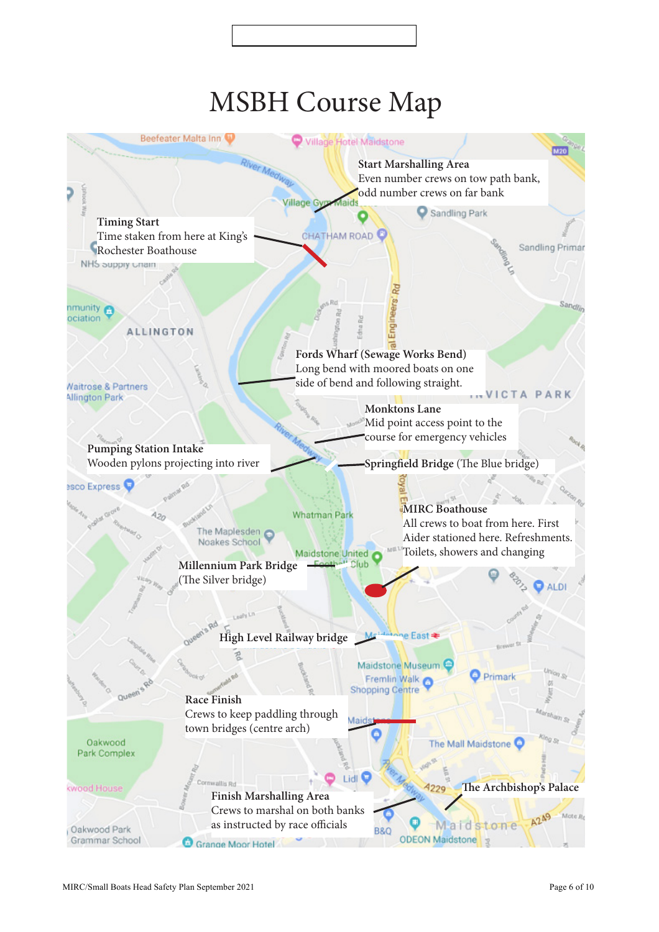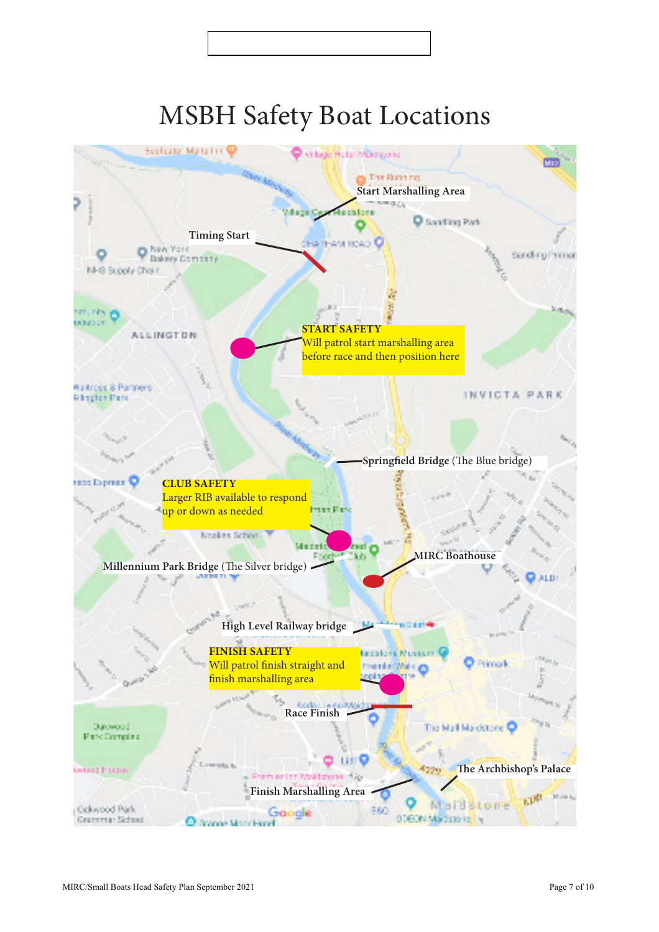# MSBH Safety Boat Locations

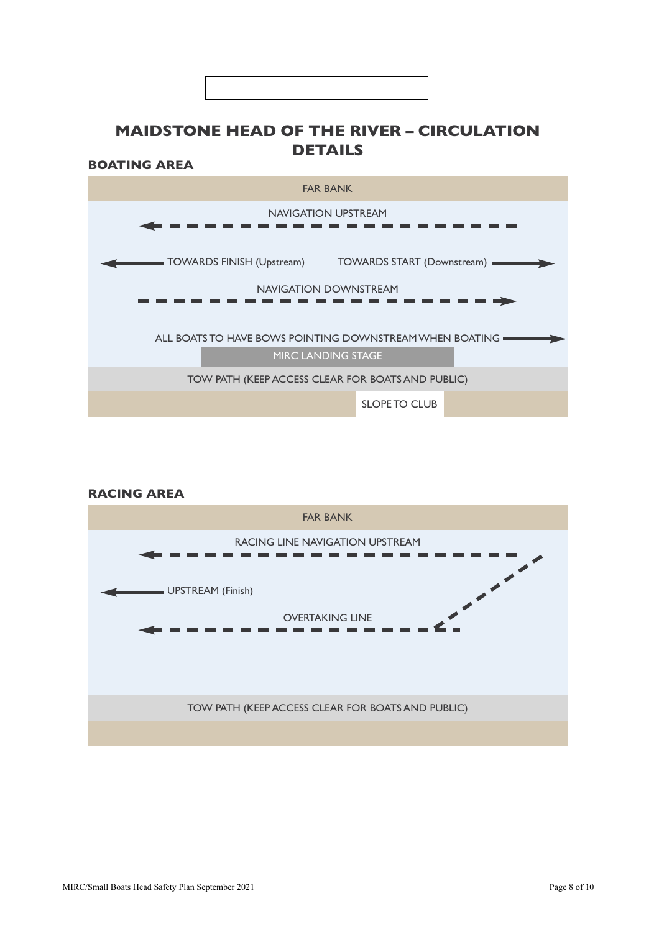# **MAIDSTONE HEAD OF THE RIVER – CIRCULATION DETAILS**

**BOATING AREA**



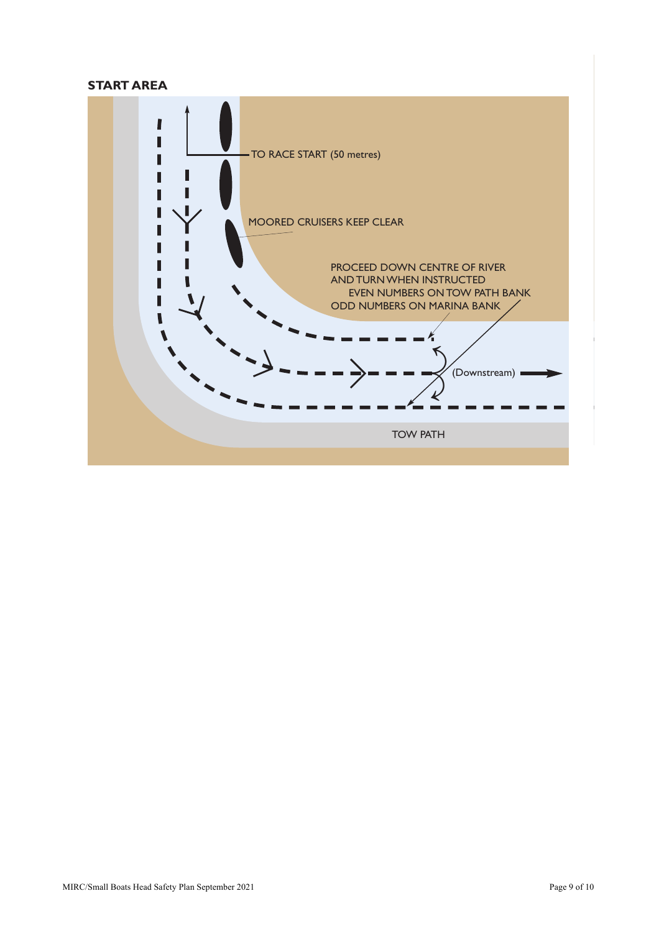